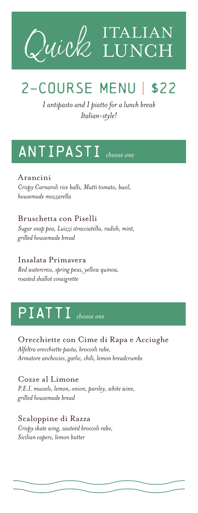



*1 antipasto and 1 piatto for a lunch break Italian-style!*

## ANTIPASTI *choose one*

Arancini *Crispy Carnaroli rice balls, Mutti tomato, basil, housemade mozzarella* 

Bruschetta con Piselli *Sugar snap pea, Luizzi stracciatella, radish, mint, grilled housemade bread*

Insalata Primavera *Red watercress, spring peas, yellow quinoa, roasted shallot vinaigrette* 

## PIATTI *choose one*

Orecchiette con Cime di Rapa e Acciughe *Alfeltra orecchiette pasta, broccoli rabe, Armatore anchovies, garlic, chili, lemon breadcrumbs* 

Cozze al Limone *P.E.I. mussels, lemon, onion, parsley, white wine, grilled housemade bread* 

Scaloppine di Razza *Crispy skate wing, sauteèd broccoli rabe, Sicilian capers, lemon butter*